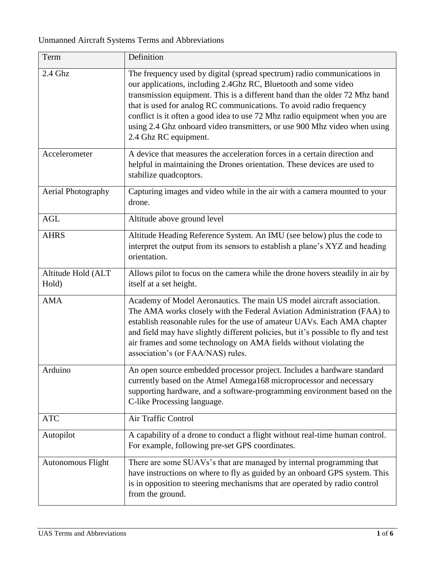## Unmanned Aircraft Systems Terms and Abbreviations

| Term                        | Definition                                                                                                                                                                                                                                                                                                                                                                                                                                                                            |
|-----------------------------|---------------------------------------------------------------------------------------------------------------------------------------------------------------------------------------------------------------------------------------------------------------------------------------------------------------------------------------------------------------------------------------------------------------------------------------------------------------------------------------|
| $2.4$ Ghz                   | The frequency used by digital (spread spectrum) radio communications in<br>our applications, including 2.4Ghz RC, Bluetooth and some video<br>transmission equipment. This is a different band than the older 72 Mhz band<br>that is used for analog RC communications. To avoid radio frequency<br>conflict is it often a good idea to use 72 Mhz radio equipment when you are<br>using 2.4 Ghz onboard video transmitters, or use 900 Mhz video when using<br>2.4 Ghz RC equipment. |
| Accelerometer               | A device that measures the acceleration forces in a certain direction and<br>helpful in maintaining the Drones orientation. These devices are used to<br>stabilize quadcoptors.                                                                                                                                                                                                                                                                                                       |
| Aerial Photography          | Capturing images and video while in the air with a camera mounted to your<br>drone.                                                                                                                                                                                                                                                                                                                                                                                                   |
| <b>AGL</b>                  | Altitude above ground level                                                                                                                                                                                                                                                                                                                                                                                                                                                           |
| <b>AHRS</b>                 | Altitude Heading Reference System. An IMU (see below) plus the code to<br>interpret the output from its sensors to establish a plane's XYZ and heading<br>orientation.                                                                                                                                                                                                                                                                                                                |
| Altitude Hold (ALT<br>Hold) | Allows pilot to focus on the camera while the drone hovers steadily in air by<br>itself at a set height.                                                                                                                                                                                                                                                                                                                                                                              |
| <b>AMA</b>                  | Academy of Model Aeronautics. The main US model aircraft association.<br>The AMA works closely with the Federal Aviation Administration (FAA) to<br>establish reasonable rules for the use of amateur UAVs. Each AMA chapter<br>and field may have slightly different policies, but it's possible to fly and test<br>air frames and some technology on AMA fields without violating the<br>association's (or FAA/NAS) rules.                                                          |
| Arduino                     | An open source embedded processor project. Includes a hardware standard<br>currently based on the Atmel Atmega168 microprocessor and necessary<br>supporting hardware, and a software-programming environment based on the<br>C-like Processing language.                                                                                                                                                                                                                             |
| <b>ATC</b>                  | Air Traffic Control                                                                                                                                                                                                                                                                                                                                                                                                                                                                   |
| Autopilot                   | A capability of a drone to conduct a flight without real-time human control.<br>For example, following pre-set GPS coordinates.                                                                                                                                                                                                                                                                                                                                                       |
| <b>Autonomous Flight</b>    | There are some SUAVs's that are managed by internal programming that<br>have instructions on where to fly as guided by an onboard GPS system. This<br>is in opposition to steering mechanisms that are operated by radio control<br>from the ground.                                                                                                                                                                                                                                  |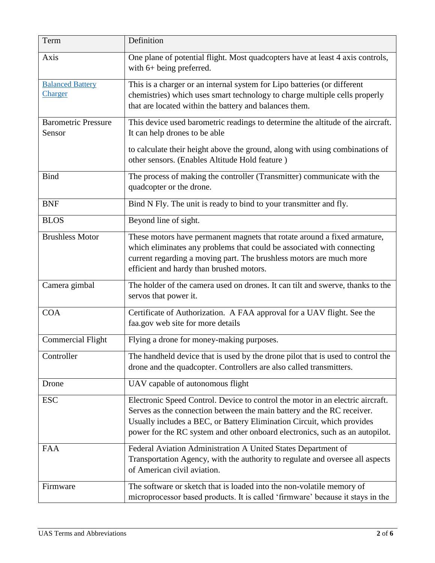| Term                                      | Definition                                                                                                                                                                                                                                                                                                         |
|-------------------------------------------|--------------------------------------------------------------------------------------------------------------------------------------------------------------------------------------------------------------------------------------------------------------------------------------------------------------------|
| Axis                                      | One plane of potential flight. Most quadcopters have at least 4 axis controls,<br>with 6+ being preferred.                                                                                                                                                                                                         |
| <b>Balanced Battery</b><br><b>Charger</b> | This is a charger or an internal system for Lipo batteries (or different<br>chemistries) which uses smart technology to charge multiple cells properly<br>that are located within the battery and balances them.                                                                                                   |
| <b>Barometric Pressure</b><br>Sensor      | This device used barometric readings to determine the altitude of the aircraft.<br>It can help drones to be able<br>to calculate their height above the ground, along with using combinations of                                                                                                                   |
|                                           | other sensors. (Enables Altitude Hold feature)                                                                                                                                                                                                                                                                     |
| <b>Bind</b>                               | The process of making the controller (Transmitter) communicate with the<br>quadcopter or the drone.                                                                                                                                                                                                                |
| <b>BNF</b>                                | Bind N Fly. The unit is ready to bind to your transmitter and fly.                                                                                                                                                                                                                                                 |
| <b>BLOS</b>                               | Beyond line of sight.                                                                                                                                                                                                                                                                                              |
| <b>Brushless Motor</b>                    | These motors have permanent magnets that rotate around a fixed armature,<br>which eliminates any problems that could be associated with connecting<br>current regarding a moving part. The brushless motors are much more<br>efficient and hardy than brushed motors.                                              |
| Camera gimbal                             | The holder of the camera used on drones. It can tilt and swerve, thanks to the<br>servos that power it.                                                                                                                                                                                                            |
| <b>COA</b>                                | Certificate of Authorization. A FAA approval for a UAV flight. See the<br>faa.gov web site for more details                                                                                                                                                                                                        |
| <b>Commercial Flight</b>                  | Flying a drone for money-making purposes.                                                                                                                                                                                                                                                                          |
| Controller                                | The handheld device that is used by the drone pilot that is used to control the<br>drone and the quadcopter. Controllers are also called transmitters.                                                                                                                                                             |
| Drone                                     | UAV capable of autonomous flight                                                                                                                                                                                                                                                                                   |
| <b>ESC</b>                                | Electronic Speed Control. Device to control the motor in an electric aircraft.<br>Serves as the connection between the main battery and the RC receiver.<br>Usually includes a BEC, or Battery Elimination Circuit, which provides<br>power for the RC system and other onboard electronics, such as an autopilot. |
| <b>FAA</b>                                | Federal Aviation Administration A United States Department of<br>Transportation Agency, with the authority to regulate and oversee all aspects<br>of American civil aviation.                                                                                                                                      |
| Firmware                                  | The software or sketch that is loaded into the non-volatile memory of<br>microprocessor based products. It is called 'firmware' because it stays in the                                                                                                                                                            |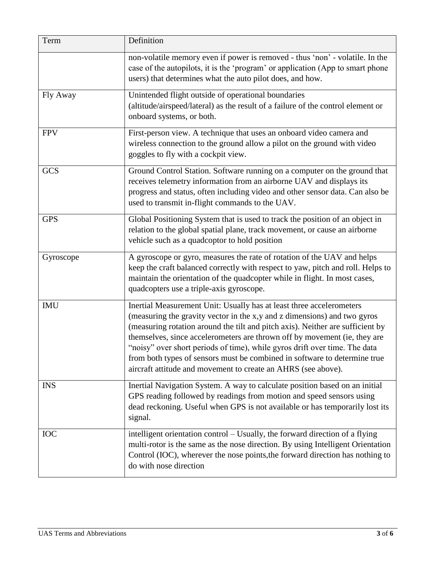| Term       | Definition                                                                                                                                                                                                                                                                                                                                                                                                                                                                                                                                  |
|------------|---------------------------------------------------------------------------------------------------------------------------------------------------------------------------------------------------------------------------------------------------------------------------------------------------------------------------------------------------------------------------------------------------------------------------------------------------------------------------------------------------------------------------------------------|
|            | non-volatile memory even if power is removed - thus 'non' - volatile. In the<br>case of the autopilots, it is the 'program' or application (App to smart phone<br>users) that determines what the auto pilot does, and how.                                                                                                                                                                                                                                                                                                                 |
| Fly Away   | Unintended flight outside of operational boundaries<br>(altitude/airspeed/lateral) as the result of a failure of the control element or<br>onboard systems, or both.                                                                                                                                                                                                                                                                                                                                                                        |
| <b>FPV</b> | First-person view. A technique that uses an onboard video camera and<br>wireless connection to the ground allow a pilot on the ground with video<br>goggles to fly with a cockpit view.                                                                                                                                                                                                                                                                                                                                                     |
| <b>GCS</b> | Ground Control Station. Software running on a computer on the ground that<br>receives telemetry information from an airborne UAV and displays its<br>progress and status, often including video and other sensor data. Can also be<br>used to transmit in-flight commands to the UAV.                                                                                                                                                                                                                                                       |
| <b>GPS</b> | Global Positioning System that is used to track the position of an object in<br>relation to the global spatial plane, track movement, or cause an airborne<br>vehicle such as a quadcoptor to hold position                                                                                                                                                                                                                                                                                                                                 |
| Gyroscope  | A gyroscope or gyro, measures the rate of rotation of the UAV and helps<br>keep the craft balanced correctly with respect to yaw, pitch and roll. Helps to<br>maintain the orientation of the quadcopter while in flight. In most cases,<br>quadcopters use a triple-axis gyroscope.                                                                                                                                                                                                                                                        |
| <b>IMU</b> | Inertial Measurement Unit: Usually has at least three accelerometers<br>(measuring the gravity vector in the x,y and z dimensions) and two gyros<br>(measuring rotation around the tilt and pitch axis). Neither are sufficient by<br>themselves, since accelerometers are thrown off by movement (ie, they are<br>"noisy" over short periods of time), while gyros drift over time. The data<br>from both types of sensors must be combined in software to determine true<br>aircraft attitude and movement to create an AHRS (see above). |
| <b>INS</b> | Inertial Navigation System. A way to calculate position based on an initial<br>GPS reading followed by readings from motion and speed sensors using<br>dead reckoning. Useful when GPS is not available or has temporarily lost its<br>signal.                                                                                                                                                                                                                                                                                              |
| <b>IOC</b> | intelligent orientation control - Usually, the forward direction of a flying<br>multi-rotor is the same as the nose direction. By using Intelligent Orientation<br>Control (IOC), wherever the nose points, the forward direction has nothing to<br>do with nose direction                                                                                                                                                                                                                                                                  |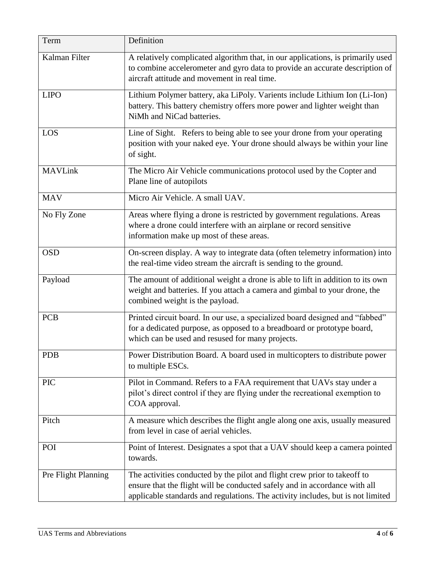| Term                | Definition                                                                                                                                                                                                                                 |
|---------------------|--------------------------------------------------------------------------------------------------------------------------------------------------------------------------------------------------------------------------------------------|
| Kalman Filter       | A relatively complicated algorithm that, in our applications, is primarily used<br>to combine accelerometer and gyro data to provide an accurate description of<br>aircraft attitude and movement in real time.                            |
| <b>LIPO</b>         | Lithium Polymer battery, aka LiPoly. Varients include Lithium Ion (Li-Ion)<br>battery. This battery chemistry offers more power and lighter weight than<br>NiMh and NiCad batteries.                                                       |
| LOS                 | Line of Sight. Refers to being able to see your drone from your operating<br>position with your naked eye. Your drone should always be within your line<br>of sight.                                                                       |
| <b>MAVLink</b>      | The Micro Air Vehicle communications protocol used by the Copter and<br>Plane line of autopilots                                                                                                                                           |
| <b>MAV</b>          | Micro Air Vehicle. A small UAV.                                                                                                                                                                                                            |
| No Fly Zone         | Areas where flying a drone is restricted by government regulations. Areas<br>where a drone could interfere with an airplane or record sensitive<br>information make up most of these areas.                                                |
| <b>OSD</b>          | On-screen display. A way to integrate data (often telemetry information) into<br>the real-time video stream the aircraft is sending to the ground.                                                                                         |
| Payload             | The amount of additional weight a drone is able to lift in addition to its own<br>weight and batteries. If you attach a camera and gimbal to your drone, the<br>combined weight is the payload.                                            |
| <b>PCB</b>          | Printed circuit board. In our use, a specialized board designed and "fabbed"<br>for a dedicated purpose, as opposed to a breadboard or prototype board,<br>which can be used and resused for many projects.                                |
| <b>PDB</b>          | Power Distribution Board. A board used in multicopters to distribute power<br>to multiple ESCs.                                                                                                                                            |
| <b>PIC</b>          | Pilot in Command. Refers to a FAA requirement that UAVs stay under a<br>pilot's direct control if they are flying under the recreational exemption to<br>COA approval.                                                                     |
| Pitch               | A measure which describes the flight angle along one axis, usually measured<br>from level in case of aerial vehicles.                                                                                                                      |
| POI                 | Point of Interest. Designates a spot that a UAV should keep a camera pointed<br>towards.                                                                                                                                                   |
| Pre Flight Planning | The activities conducted by the pilot and flight crew prior to takeoff to<br>ensure that the flight will be conducted safely and in accordance with all<br>applicable standards and regulations. The activity includes, but is not limited |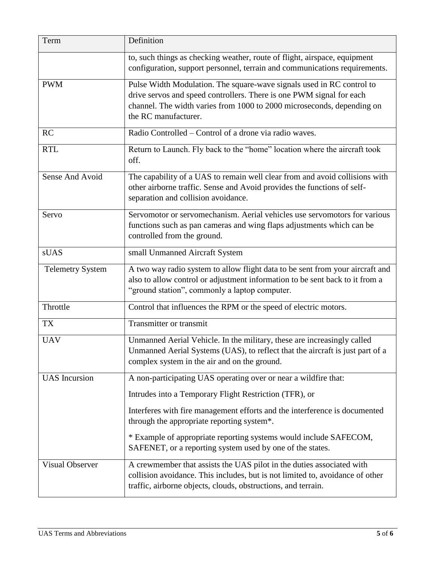| Term                    | Definition                                                                                                                                                                                                                                      |
|-------------------------|-------------------------------------------------------------------------------------------------------------------------------------------------------------------------------------------------------------------------------------------------|
|                         | to, such things as checking weather, route of flight, airspace, equipment<br>configuration, support personnel, terrain and communications requirements.                                                                                         |
| <b>PWM</b>              | Pulse Width Modulation. The square-wave signals used in RC control to<br>drive servos and speed controllers. There is one PWM signal for each<br>channel. The width varies from 1000 to 2000 microseconds, depending on<br>the RC manufacturer. |
| <b>RC</b>               | Radio Controlled – Control of a drone via radio waves.                                                                                                                                                                                          |
| <b>RTL</b>              | Return to Launch. Fly back to the "home" location where the aircraft took<br>off.                                                                                                                                                               |
| Sense And Avoid         | The capability of a UAS to remain well clear from and avoid collisions with<br>other airborne traffic. Sense and Avoid provides the functions of self-<br>separation and collision avoidance.                                                   |
| Servo                   | Servomotor or servomechanism. Aerial vehicles use servomotors for various<br>functions such as pan cameras and wing flaps adjustments which can be<br>controlled from the ground.                                                               |
| sUAS                    | small Unmanned Aircraft System                                                                                                                                                                                                                  |
| <b>Telemetry System</b> | A two way radio system to allow flight data to be sent from your aircraft and<br>also to allow control or adjustment information to be sent back to it from a<br>"ground station", commonly a laptop computer.                                  |
| Throttle                | Control that influences the RPM or the speed of electric motors.                                                                                                                                                                                |
| TX                      | <b>Transmitter or transmit</b>                                                                                                                                                                                                                  |
| <b>UAV</b>              | Unmanned Aerial Vehicle. In the military, these are increasingly called<br>Unmanned Aerial Systems (UAS), to reflect that the aircraft is just part of a<br>complex system in the air and on the ground.                                        |
| <b>UAS</b> Incursion    | A non-participating UAS operating over or near a wildfire that:                                                                                                                                                                                 |
|                         | Intrudes into a Temporary Flight Restriction (TFR), or                                                                                                                                                                                          |
|                         | Interferes with fire management efforts and the interference is documented<br>through the appropriate reporting system*.                                                                                                                        |
|                         | * Example of appropriate reporting systems would include SAFECOM,<br>SAFENET, or a reporting system used by one of the states.                                                                                                                  |
| <b>Visual Observer</b>  | A crewmember that assists the UAS pilot in the duties associated with<br>collision avoidance. This includes, but is not limited to, avoidance of other<br>traffic, airborne objects, clouds, obstructions, and terrain.                         |